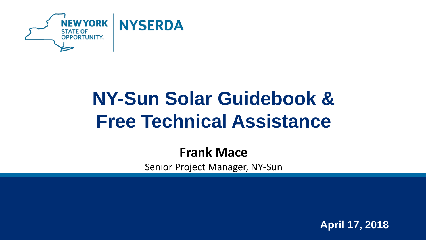

# **NY-Sun Solar Guidebook & Free Technical Assistance**

### **Frank Mace**

Senior Project Manager, NY-Sun

**April 17, 2018**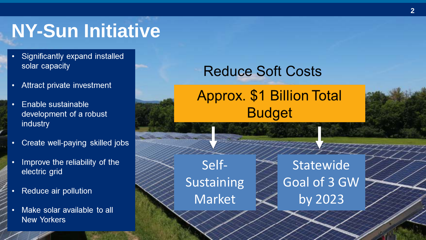## **NY-Sun Initiative**

- Significantly expand installed solar capacity
- Attract private investment  $\bullet$
- Enable sustainable  $\bullet$ development of a robust industry
- Create well-paying skilled jobs
- Improve the reliability of the electric grid
- Reduce air pollution
- Make solar available to all **New Yorkers**

## **Reduce Soft Costs**

## **Approx. \$1 Billion Total Budget**

Self-Sustaining Market

**Statewide** Goal of 3 GW by 2023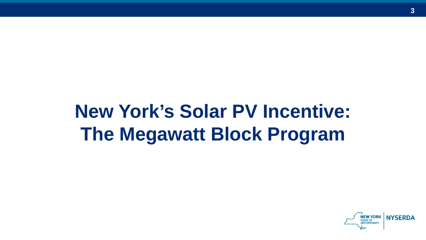# **New York's Solar PV Incentive: The Megawatt Block Program**

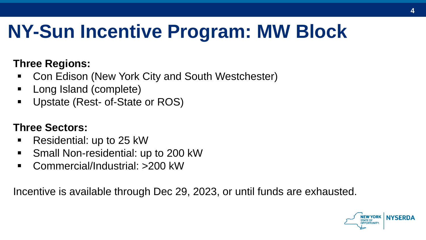## **NY-Sun Incentive Program: MW Block**

#### **Three Regions:**

- Con Edison (New York City and South Westchester)
- Long Island (complete)
- Upstate (Rest- of-State or ROS)

#### **Three Sectors:**

- Residential: up to 25 kW
- Small Non-residential: up to 200 kW
- Commercial/Industrial: >200 kW

Incentive is available through Dec 29, 2023, or until funds are exhausted.

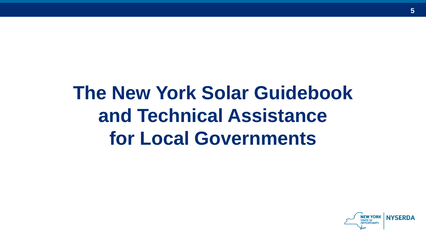## **The New York Solar Guidebook and Technical Assistance for Local Governments**

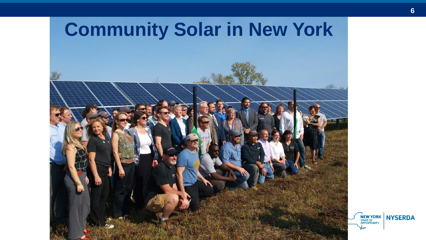

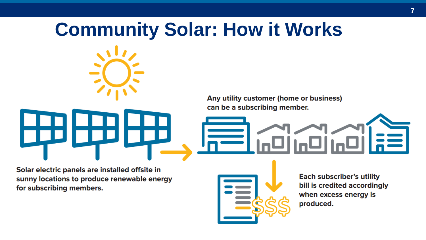# **Community Solar: How it Works**Any utility customer (home or business) can be a subscribing member.

Solar electric panels are installed offsite in sunny locations to produce renewable energy for subscribing members.



**Each subscriber's utility** bill is credited accordingly when excess energy is produced.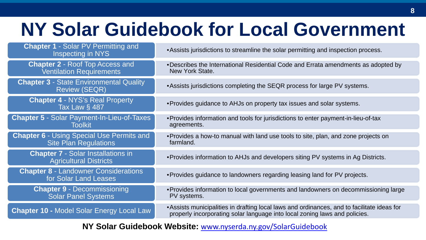## **NY Solar Guidebook for Local Government**

| <b>Chapter 1 - Solar PV Permitting and</b><br>Inspecting in NYS                  | • Assists jurisdictions to streamline the solar permitting and inspection process.                                                                                        |
|----------------------------------------------------------------------------------|---------------------------------------------------------------------------------------------------------------------------------------------------------------------------|
| <b>Chapter 2 - Roof Top Access and</b><br><b>Ventilation Requirements</b>        | . Describes the International Residential Code and Errata amendments as adopted by<br>New York State.                                                                     |
| <b>Chapter 3 - State Environmental Quality</b><br><b>Review (SEQR)</b>           | • Assists jurisdictions completing the SEQR process for large PV systems.                                                                                                 |
| <b>Chapter 4 - NYS's Real Property</b><br><b>Tax Law § 487</b>                   | • Provides guidance to AHJs on property tax issues and solar systems.                                                                                                     |
| <b>Chapter 5 - Solar Payment-In-Lieu-of-Taxes</b><br><b>Toolkit</b>              | • Provides information and tools for jurisdictions to enter payment-in-lieu-of-tax<br>agreements.                                                                         |
| <b>Chapter 6 - Using Special Use Permits and</b><br><b>Site Plan Regulations</b> | • Provides a how-to manual with land use tools to site, plan, and zone projects on<br>farmland.                                                                           |
| <b>Chapter 7 - Solar Installations in</b><br><b>Agricultural Districts</b>       | • Provides information to AHJs and developers siting PV systems in Ag Districts.                                                                                          |
| <b>Chapter 8 - Landowner Considerations</b><br>for Solar Land Leases             | • Provides guidance to landowners regarding leasing land for PV projects.                                                                                                 |
| <b>Chapter 9 - Decommissioning</b><br><b>Solar Panel Systems</b>                 | • Provides information to local governments and landowners on decommissioning large<br>PV systems.                                                                        |
| <b>Chapter 10 - Model Solar Energy Local Law</b>                                 | • Assists municipalities in drafting local laws and ordinances, and to facilitate ideas for<br>properly incorporating solar language into local zoning laws and policies. |
|                                                                                  |                                                                                                                                                                           |

**NY Solar Guidebook Website:** [www.nyserda.ny.gov/SolarGuidebook](http://www.nyserda.ny.gov/SolarGuidebook)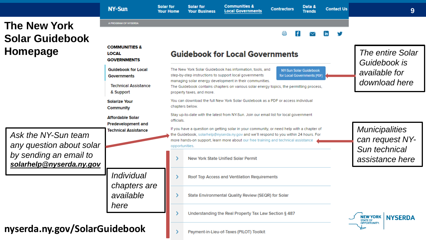|                                                                                                       | <b>NY-Sun</b>                                                                 | <b>Solar for</b><br><b>Your Home</b>   | <b>Solar for</b><br><b>Your Business</b>                                                                                                                                                                                                                                                                                                                       | <b>Communities &amp;</b><br><b>Local Governments</b>      | <b>Contractors</b> | Data &<br><b>Trends</b> | <b>Contact Us</b> | 9                                                    |  |  |
|-------------------------------------------------------------------------------------------------------|-------------------------------------------------------------------------------|----------------------------------------|----------------------------------------------------------------------------------------------------------------------------------------------------------------------------------------------------------------------------------------------------------------------------------------------------------------------------------------------------------------|-----------------------------------------------------------|--------------------|-------------------------|-------------------|------------------------------------------------------|--|--|
| <b>The New York</b>                                                                                   | A PROGRAM OF NYSERDA                                                          |                                        |                                                                                                                                                                                                                                                                                                                                                                |                                                           |                    |                         |                   |                                                      |  |  |
| <b>Solar Guidebook</b>                                                                                |                                                                               |                                        |                                                                                                                                                                                                                                                                                                                                                                |                                                           | a                  |                         |                   |                                                      |  |  |
| Homepage                                                                                              | <b>COMMUNITIES &amp;</b><br><b>LOCAL</b><br><b>GOVERNMENTS</b>                | <b>Guidebook for Local Governments</b> |                                                                                                                                                                                                                                                                                                                                                                |                                                           |                    |                         |                   | <b>The entire Solar</b><br>Guidebook is              |  |  |
|                                                                                                       | <b>Guidebook for Local</b><br><b>Governments</b>                              |                                        | The New York Solar Guidebook has information, tools, and<br>NY-Sun Solar Guidebook<br>step-by-step instructions to support local governments<br>for Local Governments [PDF]<br>managing solar energy development in their communities.<br>The Guidebook contains chapters on various solar energy topics, the permitting process,<br>property taxes, and more. |                                                           |                    |                         |                   | available for<br>download here                       |  |  |
|                                                                                                       | <b>Technical Assistance</b><br>& Support                                      |                                        |                                                                                                                                                                                                                                                                                                                                                                |                                                           |                    |                         |                   |                                                      |  |  |
|                                                                                                       | <b>Solarize Your</b><br><b>Community</b>                                      |                                        | You can download the full New York Solar Guidebook as a PDF or access individual<br>chapters below.                                                                                                                                                                                                                                                            |                                                           |                    |                         |                   |                                                      |  |  |
| Ask the NY-Sun team<br>any question about solar<br>by sending an email to<br>solarhelp@nyserda.ny.gov | <b>Affordable Solar</b><br><b>Predevelopment and</b>                          |                                        | Stay up-to-date with the latest from NY-Sun. Join our email list for local government<br>officials.                                                                                                                                                                                                                                                            |                                                           |                    |                         |                   |                                                      |  |  |
|                                                                                                       | <b>Technical Assistance</b><br><i>Individual</i><br>chapters are<br>available | opportunities.                         | If you have a question on getting solar in your community, or need help with a chapter of<br>the Guidebook, solarhelp@nyserda.ny.gov and we'll respond to you within 24 hours. For<br>more hands-on support, learn more about our free training and technical assistance                                                                                       | <b>Municipalities</b><br>can request NY-<br>Sun technical |                    |                         |                   |                                                      |  |  |
|                                                                                                       |                                                                               |                                        |                                                                                                                                                                                                                                                                                                                                                                | <b>New York State Unified Solar Permit</b>                |                    |                         |                   | assistance here                                      |  |  |
|                                                                                                       |                                                                               |                                        |                                                                                                                                                                                                                                                                                                                                                                | Roof Top Access and Ventilation Requirements              |                    |                         |                   |                                                      |  |  |
|                                                                                                       |                                                                               |                                        |                                                                                                                                                                                                                                                                                                                                                                | State Environmental Quality Review (SEQR) for Solar       |                    |                         |                   |                                                      |  |  |
|                                                                                                       | here                                                                          |                                        |                                                                                                                                                                                                                                                                                                                                                                | Understanding the Real Property Tax Law Section § 487     |                    |                         |                   | <b>NEW YORK</b><br><b>NYSERDA</b><br><b>STATE OF</b> |  |  |
| nyserda.ny.gov/SolarGuidebook                                                                         |                                                                               |                                        |                                                                                                                                                                                                                                                                                                                                                                | Payment-in-Lieu-of-Taxes (PILOT) Toolkit                  |                    |                         |                   | <b>OPPORTUNITY.</b>                                  |  |  |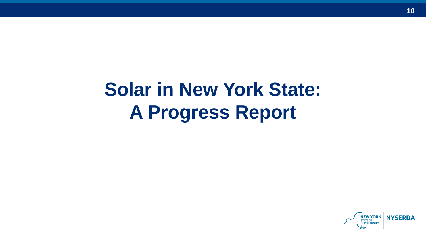## **Solar in New York State: A Progress Report**

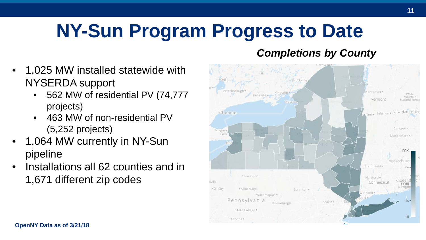# **NY-Sun Program Progress to Date**

#### *Completions by County*

- 1,025 MW installed statewide with NYSERDA support
	- 562 MW of residential PV (74,777 projects)
	- 463 MW of non-residential PV (5,252 projects)
- 1,064 MW currently in NY-Sun pipeline
- Installations all 62 counties and in 1,671 different zip codes